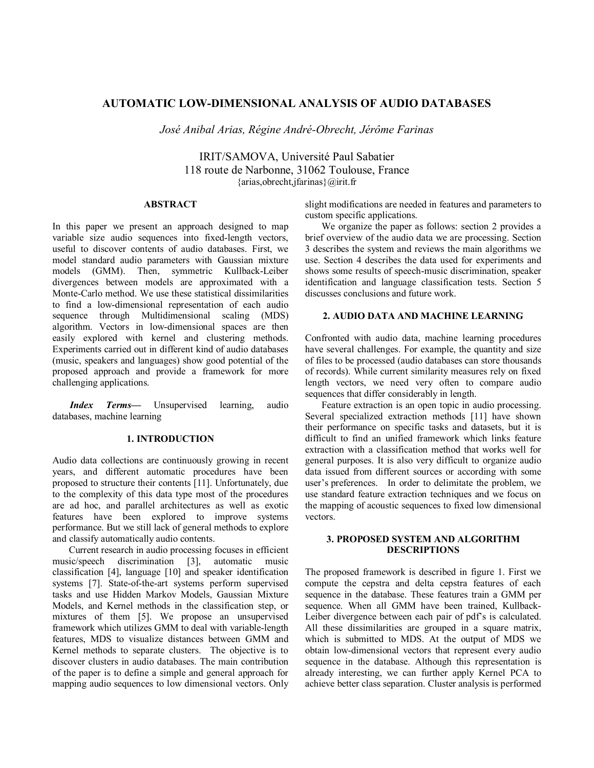# **AUTOMATIC LOW-DIMENSIONAL ANALYSIS OF AUDIO DATABASES**

*José Anibal Arias, Régine André-Obrecht, Jérôme Farinas* 

IRIT/SAMOVA, Université Paul Sabatier 118 route de Narbonne, 31062 Toulouse, France {arias,obrecht,jfarinas}@irit.fr

## **ABSTRACT**

In this paper we present an approach designed to map variable size audio sequences into fixed-length vectors, useful to discover contents of audio databases. First, we model standard audio parameters with Gaussian mixture models (GMM). Then, symmetric Kullback-Leiber divergences between models are approximated with a Monte-Carlo method. We use these statistical dissimilarities to find a low-dimensional representation of each audio sequence through Multidimensional scaling (MDS) algorithm. Vectors in low-dimensional spaces are then easily explored with kernel and clustering methods. Experiments carried out in different kind of audio databases (music, speakers and languages) show good potential of the proposed approach and provide a framework for more challenging applications.

*Index Terms*— Unsupervised learning, audio databases, machine learning

# **1. INTRODUCTION**

Audio data collections are continuously growing in recent years, and different automatic procedures have been proposed to structure their contents [11]. Unfortunately, due to the complexity of this data type most of the procedures are ad hoc, and parallel architectures as well as exotic features have been explored to improve systems performance. But we still lack of general methods to explore and classify automatically audio contents.

 Current research in audio processing focuses in efficient music/speech discrimination [3], automatic music classification [4], language [10] and speaker identification systems [7]. State-of-the-art systems perform supervised tasks and use Hidden Markov Models, Gaussian Mixture Models, and Kernel methods in the classification step, or mixtures of them [5]. We propose an unsupervised framework which utilizes GMM to deal with variable-length features, MDS to visualize distances between GMM and Kernel methods to separate clusters. The objective is to discover clusters in audio databases. The main contribution of the paper is to define a simple and general approach for mapping audio sequences to low dimensional vectors. Only

slight modifications are needed in features and parameters to custom specific applications.

We organize the paper as follows: section 2 provides a brief overview of the audio data we are processing. Section 3 describes the system and reviews the main algorithms we use. Section 4 describes the data used for experiments and shows some results of speech-music discrimination, speaker identification and language classification tests. Section 5 discusses conclusions and future work.

## **2. AUDIO DATA AND MACHINE LEARNING**

Confronted with audio data, machine learning procedures have several challenges. For example, the quantity and size of files to be processed (audio databases can store thousands of records). While current similarity measures rely on fixed length vectors, we need very often to compare audio sequences that differ considerably in length.

 Feature extraction is an open topic in audio processing. Several specialized extraction methods [11] have shown their performance on specific tasks and datasets, but it is difficult to find an unified framework which links feature extraction with a classification method that works well for general purposes. It is also very difficult to organize audio data issued from different sources or according with some user's preferences. In order to delimitate the problem, we use standard feature extraction techniques and we focus on the mapping of acoustic sequences to fixed low dimensional vectors.

## **3. PROPOSED SYSTEM AND ALGORITHM DESCRIPTIONS**

The proposed framework is described in figure 1. First we compute the cepstra and delta cepstra features of each sequence in the database. These features train a GMM per sequence. When all GMM have been trained, Kullback-Leiber divergence between each pair of pdf's is calculated. All these dissimilarities are grouped in a square matrix, which is submitted to MDS. At the output of MDS we obtain low-dimensional vectors that represent every audio sequence in the database. Although this representation is already interesting, we can further apply Kernel PCA to achieve better class separation. Cluster analysis is performed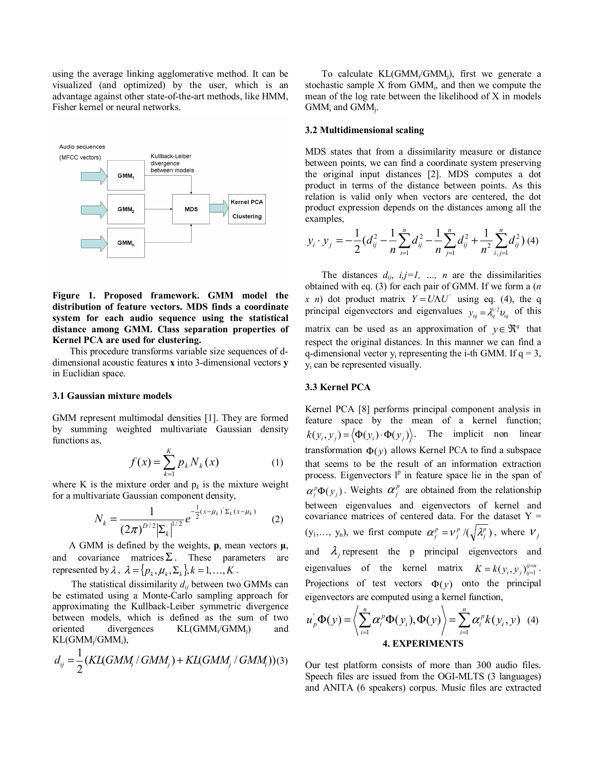using the average linking agglomerative method. It can be visualized (and optimized) by the user, which is an advantage against other state-of-the-art methods, like HMM, Fisher kernel or neural networks.



## **Figure 1. Proposed framework. GMM model the distribution of feature vectors. MDS finds a coordinate system for each audio sequence using the statistical distance among GMM. Class separation properties of Kernel PCA are used for clustering.**

This procedure transforms variable size sequences of ddimensional acoustic features **x** into 3-dimensional vectors **y** in Euclidian space.

#### **3.1 Gaussian mixture models**

GMM represent multimodal densities [1]. They are formed by summing weighted multivariate Gaussian density functions as,

$$
f(x) = \sum_{k=1}^{K} p_k N_k(x)
$$
 (1)

where K is the mixture order and  $p_k$  is the mixture weight for a multivariate Gaussian component density,

$$
N_k = \frac{1}{(2\pi)^{D/2} |\Sigma_k|^{1/2}} e^{-\frac{1}{2}(x - \mu_k)^{\cdot} \Sigma_k (x - \mu_k)}
$$
 (2)

A GMM is defined by the weights, **p**, mean vectors **µ**, and covariance matrices  $\Sigma$ . These parameters are represented by  $\lambda$ ,  $\lambda = \{p_k, \mu_k, \Sigma_k\}$ ,  $k = 1, ..., K$ .

 The statistical dissimilarity *dij* between two GMMs can be estimated using a Monte-Carlo sampling approach for approximating the Kullback-Leiber symmetric divergence between models, which is defined as the sum of two oriented divergences  $KL(GMM_i/GMM_i)$  and KL(GMMj/GMMi),

$$
d_{ij} = \frac{1}{2} (KL(GMM_i / GMM_j) + KL(GMM_j / GMM_i)) (3)
$$

 To calculate KL(GMMi/GMMj), first we generate a stochastic sample  $X$  from  $GMM<sub>i</sub>$ , and then we compute the mean of the log rate between the likelihood of X in models  $GMM_i$  and  $GMM_i$ .

#### **3.2 Multidimensional scaling**

MDS states that from a dissimilarity measure or distance between points, we can find a coordinate system preserving the original input distances [2]. MDS computes a dot product in terms of the distance between points. As this relation is valid only when vectors are centered, the dot product expression depends on the distances among all the examples,

$$
y_i \cdot y_j = -\frac{1}{2} (d_{ij}^2 - \frac{1}{n} \sum_{i=1}^n d_{ij}^2 - \frac{1}{n} \sum_{j=1}^n d_{ij}^2 + \frac{1}{n^2} \sum_{i,j=1}^n d_{ij}^2) (4)
$$

The distances  $d_{ij}$ ,  $i, j=l$ , ..., *n* are the dissimilarities obtained with eq. (3) for each pair of GMM. If we form a (*n x n*) dot product matrix  $Y = U\Lambda U'$  using eq. (4), the q principal eigenvectors and eigenvalues  $y_{iq} = \lambda_q^{1/2} v_{iq}$  of this matrix can be used as an approximation of  $y \in \mathbb{R}^q$  that respect the original distances. In this manner we can find a q-dimensional vector  $y_i$  representing the i-th GMM. If  $q = 3$ , yi can be represented visually.

## **3.3 Kernel PCA**

Kernel PCA [8] performs principal component analysis in feature space by the mean of a kernel function;  $k(y_i, y_j) = \langle \Phi(y_i) \cdot \Phi(y_j) \rangle$ . The implicit non linear transformation  $\Phi(y)$  allows Kernel PCA to find a subspace that seems to be the result of an information extraction process. Eigenvectors  $l^p$  in feature space lie in the span of  $\alpha_j^p \Phi(y_j)$ . Weights  $\alpha_j^p$  are obtained from the relationship between eigenvalues and eigenvectors of kernel and covariance matrices of centered data. For the dataset  $Y =$  $(y_1, \ldots, y_n)$ , we first compute  $\alpha_j^p = v_j^p / (\sqrt{\lambda_j^p})$ , where  $V_j$ and  $\lambda_i$  represent the p principal eigenvectors and eigenvalues of the kernel matrix  $K = k(y_i, y_j)_{i=1}^{ij=n}$ . Projections of test vectors  $\Phi(y)$  onto the principal eigenvectors are computed using a kernel function,

$$
u_p^{\dagger} \Phi(y) = \left\langle \sum_{i=1}^{n} \alpha_i^p \Phi(y_i), \Phi(y) \right\rangle = \sum_{i=1}^{n} \alpha_i^p k(y_i, y) \tag{4}
$$
  
**4. EXPERIMENTS**

Our test platform consists of more than 300 audio files. Speech files are issued from the OGI-MLTS (3 languages) and ANITA (6 speakers) corpus. Music files are extracted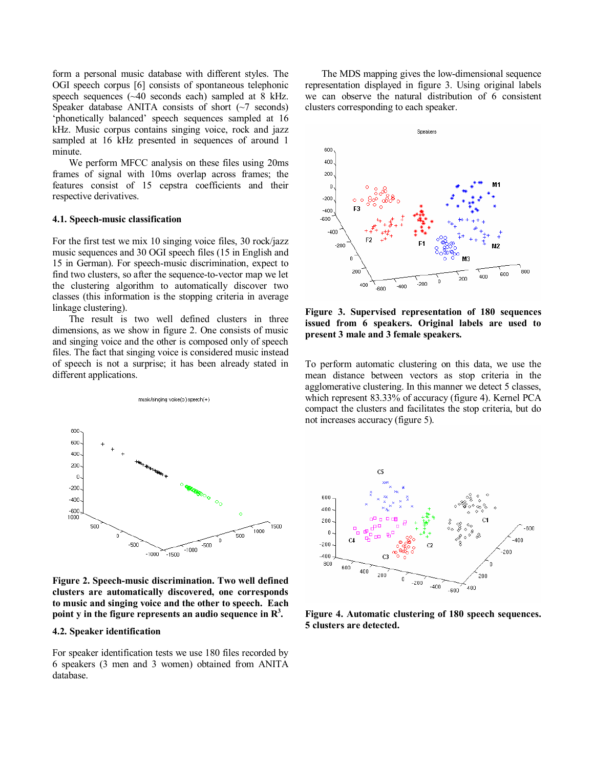form a personal music database with different styles. The OGI speech corpus [6] consists of spontaneous telephonic speech sequences (~40 seconds each) sampled at 8 kHz. Speaker database ANITA consists of short  $(\sim)$  seconds) 'phonetically balanced' speech sequences sampled at 16 kHz. Music corpus contains singing voice, rock and jazz sampled at 16 kHz presented in sequences of around 1 minute.

We perform MFCC analysis on these files using 20ms frames of signal with 10ms overlap across frames; the features consist of 15 cepstra coefficients and their respective derivatives.

#### **4.1. Speech-music classification**

For the first test we mix 10 singing voice files, 30 rock/jazz music sequences and 30 OGI speech files (15 in English and 15 in German). For speech-music discrimination, expect to find two clusters, so after the sequence-to-vector map we let the clustering algorithm to automatically discover two classes (this information is the stopping criteria in average linkage clustering).

 The result is two well defined clusters in three dimensions, as we show in figure 2. One consists of music and singing voice and the other is composed only of speech files. The fact that singing voice is considered music instead of speech is not a surprise; it has been already stated in different applications.



**Figure 2. Speech-music discrimination. Two well defined clusters are automatically discovered, one corresponds to music and singing voice and the other to speech. Each**  point y in the figure represents an audio sequence in  $\mathbb{R}^3$ .

### **4.2. Speaker identification**

For speaker identification tests we use 180 files recorded by 6 speakers (3 men and 3 women) obtained from ANITA database.

The MDS mapping gives the low-dimensional sequence representation displayed in figure 3. Using original labels we can observe the natural distribution of 6 consistent clusters corresponding to each speaker.



**Figure 3. Supervised representation of 180 sequences issued from 6 speakers. Original labels are used to present 3 male and 3 female speakers.** 

To perform automatic clustering on this data, we use the mean distance between vectors as stop criteria in the agglomerative clustering. In this manner we detect 5 classes, which represent 83.33% of accuracy (figure 4). Kernel PCA compact the clusters and facilitates the stop criteria, but do not increases accuracy (figure 5).



**Figure 4. Automatic clustering of 180 speech sequences. 5 clusters are detected.**